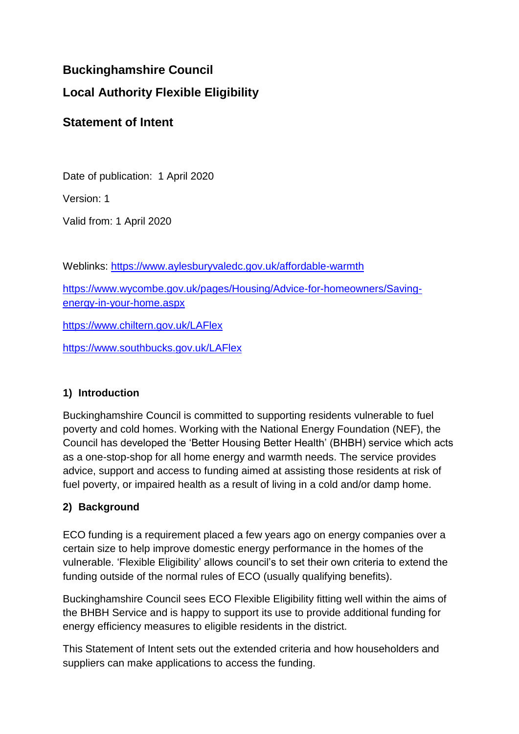# **Buckinghamshire Council**

# **Local Authority Flexible Eligibility**

# **Statement of Intent**

Date of publication: 1 April 2020

Version: 1

Valid from: 1 April 2020

Weblinks:<https://www.aylesburyvaledc.gov.uk/affordable-warmth>

[https://www.wycombe.gov.uk/pages/Housing/Advice-for-homeowners/Saving](https://www.wycombe.gov.uk/pages/Housing/Advice-for-homeowners/Saving-energy-in-your-home.aspx)[energy-in-your-home.aspx](https://www.wycombe.gov.uk/pages/Housing/Advice-for-homeowners/Saving-energy-in-your-home.aspx)

<https://www.chiltern.gov.uk/LAFlex>

<https://www.southbucks.gov.uk/LAFlex>

## **1) Introduction**

Buckinghamshire Council is committed to supporting residents vulnerable to fuel poverty and cold homes. Working with the National Energy Foundation (NEF), the Council has developed the 'Better Housing Better Health' (BHBH) service which acts as a one-stop-shop for all home energy and warmth needs. The service provides advice, support and access to funding aimed at assisting those residents at risk of fuel poverty, or impaired health as a result of living in a cold and/or damp home.

## **2) Background**

ECO funding is a requirement placed a few years ago on energy companies over a certain size to help improve domestic energy performance in the homes of the vulnerable. 'Flexible Eligibility' allows council's to set their own criteria to extend the funding outside of the normal rules of ECO (usually qualifying benefits).

Buckinghamshire Council sees ECO Flexible Eligibility fitting well within the aims of the BHBH Service and is happy to support its use to provide additional funding for energy efficiency measures to eligible residents in the district.

This Statement of Intent sets out the extended criteria and how householders and suppliers can make applications to access the funding.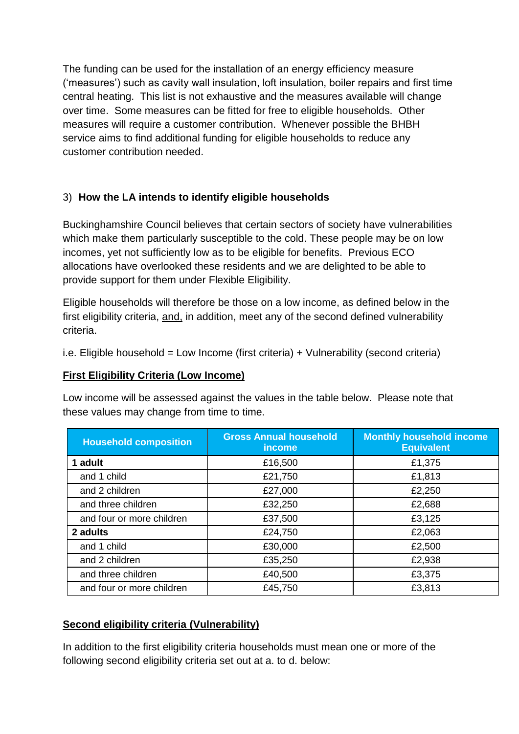The funding can be used for the installation of an energy efficiency measure ('measures') such as cavity wall insulation, loft insulation, boiler repairs and first time central heating. This list is not exhaustive and the measures available will change over time. Some measures can be fitted for free to eligible households. Other measures will require a customer contribution. Whenever possible the BHBH service aims to find additional funding for eligible households to reduce any customer contribution needed.

## 3) **How the LA intends to identify eligible households**

Buckinghamshire Council believes that certain sectors of society have vulnerabilities which make them particularly susceptible to the cold. These people may be on low incomes, yet not sufficiently low as to be eligible for benefits. Previous ECO allocations have overlooked these residents and we are delighted to be able to provide support for them under Flexible Eligibility.

Eligible households will therefore be those on a low income, as defined below in the first eligibility criteria, and, in addition, meet any of the second defined vulnerability criteria.

i.e. Eligible household = Low Income (first criteria) + Vulnerability (second criteria)

## **First Eligibility Criteria (Low Income)**

Low income will be assessed against the values in the table below. Please note that these values may change from time to time.

| <b>Household composition</b> | <b>Gross Annual household</b><br>income | <b>Monthly household income</b><br><b>Equivalent</b> |
|------------------------------|-----------------------------------------|------------------------------------------------------|
| 1 adult                      | £16,500                                 | £1,375                                               |
| and 1 child                  | £21,750                                 | £1,813                                               |
| and 2 children               | £27,000                                 | £2,250                                               |
| and three children           | £32,250                                 | £2,688                                               |
| and four or more children    | £37,500                                 | £3,125                                               |
| 2 adults                     | £24,750                                 | £2,063                                               |
| and 1 child                  | £30,000                                 | £2,500                                               |
| and 2 children               | £35,250                                 | £2,938                                               |
| and three children           | £40,500                                 | £3,375                                               |
| and four or more children    | £45,750                                 | £3,813                                               |

## **Second eligibility criteria (Vulnerability)**

In addition to the first eligibility criteria households must mean one or more of the following second eligibility criteria set out at a. to d. below: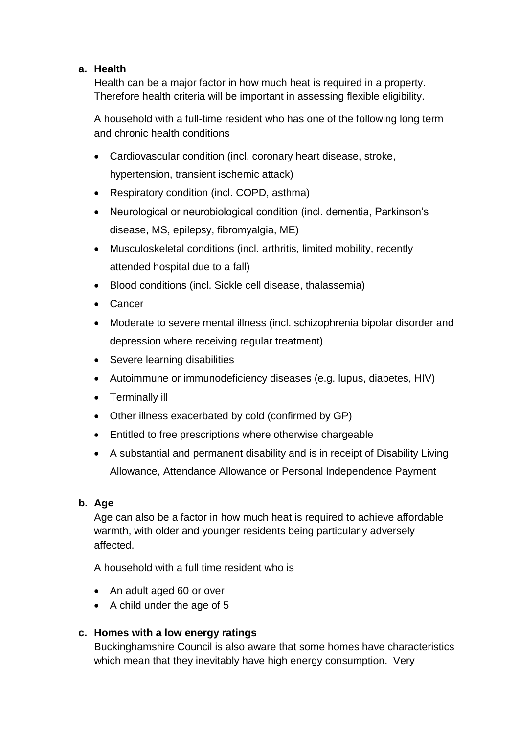### **a. Health**

Health can be a major factor in how much heat is required in a property. Therefore health criteria will be important in assessing flexible eligibility.

A household with a full-time resident who has one of the following long term and chronic health conditions

- Cardiovascular condition (incl. coronary heart disease, stroke, hypertension, transient ischemic attack)
- Respiratory condition (incl. COPD, asthma)
- Neurological or neurobiological condition (incl. dementia, Parkinson's disease, MS, epilepsy, fibromyalgia, ME)
- Musculoskeletal conditions (incl. arthritis, limited mobility, recently attended hospital due to a fall)
- Blood conditions (incl. Sickle cell disease, thalassemia)
- Cancer
- Moderate to severe mental illness (incl. schizophrenia bipolar disorder and depression where receiving regular treatment)
- Severe learning disabilities
- Autoimmune or immunodeficiency diseases (e.g. lupus, diabetes, HIV)
- Terminally ill
- Other illness exacerbated by cold (confirmed by GP)
- Entitled to free prescriptions where otherwise chargeable
- A substantial and permanent disability and is in receipt of Disability Living Allowance, Attendance Allowance or Personal Independence Payment

### **b. Age**

Age can also be a factor in how much heat is required to achieve affordable warmth, with older and younger residents being particularly adversely affected.

A household with a full time resident who is

- An adult aged 60 or over
- A child under the age of 5

### **c. Homes with a low energy ratings**

Buckinghamshire Council is also aware that some homes have characteristics which mean that they inevitably have high energy consumption. Very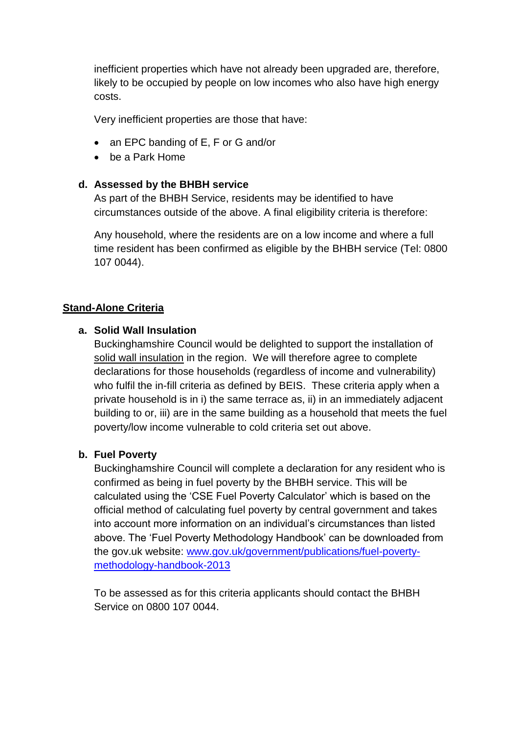inefficient properties which have not already been upgraded are, therefore, likely to be occupied by people on low incomes who also have high energy costs.

Very inefficient properties are those that have:

- an EPC banding of E, F or G and/or
- be a Park Home

#### **d. Assessed by the BHBH service**

As part of the BHBH Service, residents may be identified to have circumstances outside of the above. A final eligibility criteria is therefore:

Any household, where the residents are on a low income and where a full time resident has been confirmed as eligible by the BHBH service (Tel: 0800 107 0044).

#### **Stand-Alone Criteria**

#### **a. Solid Wall Insulation**

Buckinghamshire Council would be delighted to support the installation of solid wall insulation in the region. We will therefore agree to complete declarations for those households (regardless of income and vulnerability) who fulfil the in-fill criteria as defined by BEIS. These criteria apply when a private household is in i) the same terrace as, ii) in an immediately adjacent building to or, iii) are in the same building as a household that meets the fuel poverty/low income vulnerable to cold criteria set out above.

### **b. Fuel Poverty**

Buckinghamshire Council will complete a declaration for any resident who is confirmed as being in fuel poverty by the BHBH service. This will be calculated using the 'CSE Fuel Poverty Calculator' which is based on the official method of calculating fuel poverty by central government and takes into account more information on an individual's circumstances than listed above. The 'Fuel Poverty Methodology Handbook' can be downloaded from the gov.uk website: [www.gov.uk/government/publications/fuel-poverty](http://www.gov.uk/government/publications/fuel-poverty-methodology-handbook-2013)[methodology-handbook-2013](http://www.gov.uk/government/publications/fuel-poverty-methodology-handbook-2013)

To be assessed as for this criteria applicants should contact the BHBH Service on 0800 107 0044.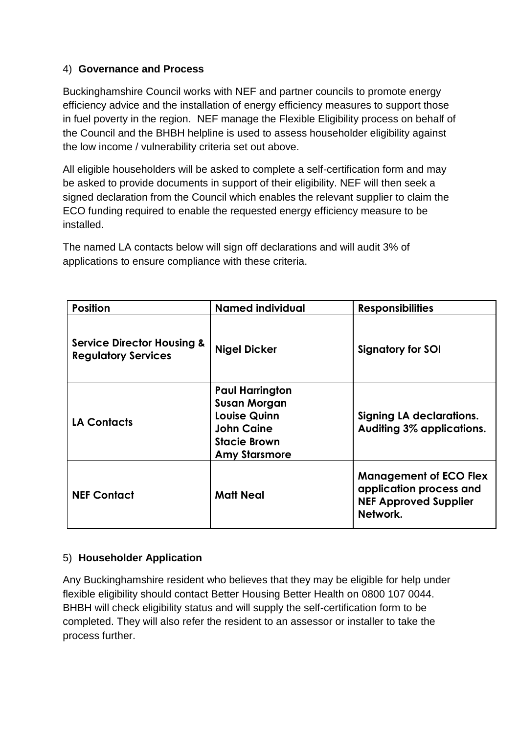### 4) **Governance and Process**

Buckinghamshire Council works with NEF and partner councils to promote energy efficiency advice and the installation of energy efficiency measures to support those in fuel poverty in the region. NEF manage the Flexible Eligibility process on behalf of the Council and the BHBH helpline is used to assess householder eligibility against the low income / vulnerability criteria set out above.

All eligible householders will be asked to complete a self-certification form and may be asked to provide documents in support of their eligibility. NEF will then seek a signed declaration from the Council which enables the relevant supplier to claim the ECO funding required to enable the requested energy efficiency measure to be installed.

The named LA contacts below will sign off declarations and will audit 3% of applications to ensure compliance with these criteria.

| <b>Position</b>                                                     | <b>Named individual</b>                                                                                                                  | <b>Responsibilities</b>                                                                              |
|---------------------------------------------------------------------|------------------------------------------------------------------------------------------------------------------------------------------|------------------------------------------------------------------------------------------------------|
| <b>Service Director Housing &amp;</b><br><b>Regulatory Services</b> | <b>Nigel Dicker</b>                                                                                                                      | <b>Signatory for SOI</b>                                                                             |
| <b>LA Contacts</b>                                                  | <b>Paul Harrington</b><br><b>Susan Morgan</b><br><b>Louise Quinn</b><br><b>John Caine</b><br><b>Stacie Brown</b><br><b>Amy Starsmore</b> | <b>Signing LA declarations.</b><br>Auditing 3% applications.                                         |
| <b>NEF Contact</b>                                                  | <b>Matt Neal</b>                                                                                                                         | <b>Management of ECO Flex</b><br>application process and<br><b>NEF Approved Supplier</b><br>Network. |

### 5) **Householder Application**

Any Buckinghamshire resident who believes that they may be eligible for help under flexible eligibility should contact Better Housing Better Health on 0800 107 0044. BHBH will check eligibility status and will supply the self-certification form to be completed. They will also refer the resident to an assessor or installer to take the process further.